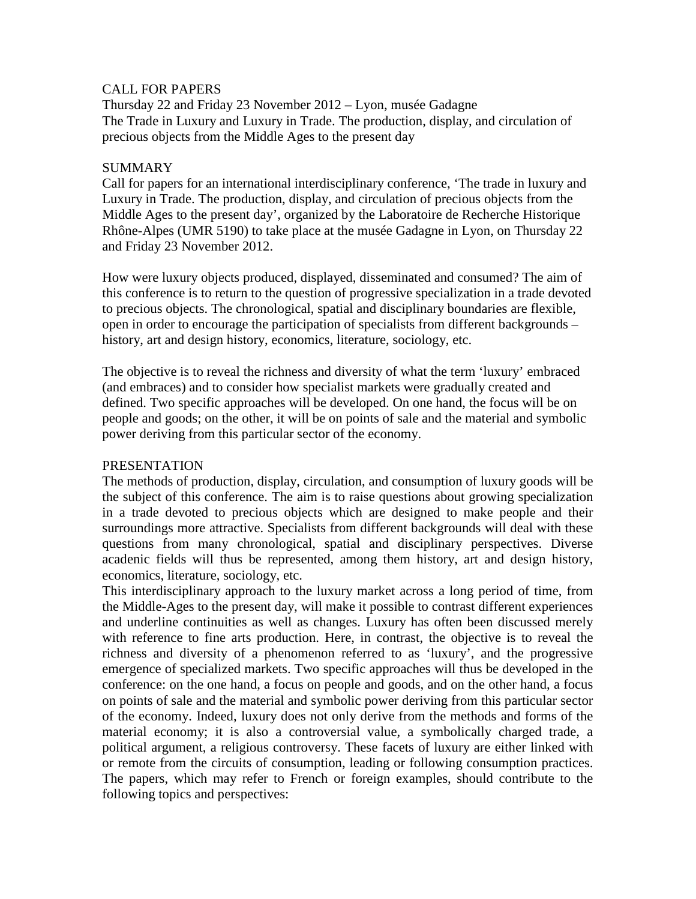## CALL FOR PAPERS

Thursday 22 and Friday 23 November 2012 – Lyon, musée Gadagne The Trade in Luxury and Luxury in Trade. The production, display, and circulation of precious objects from the Middle Ages to the present day

## SUMMARY

Call for papers for an international interdisciplinary conference, 'The trade in luxury and Luxury in Trade. The production, display, and circulation of precious objects from the Middle Ages to the present day', organized by the Laboratoire de Recherche Historique Rhône-Alpes (UMR 5190) to take place at the musée Gadagne in Lyon, on Thursday 22 and Friday 23 November 2012.

How were luxury objects produced, displayed, disseminated and consumed? The aim of this conference is to return to the question of progressive specialization in a trade devoted to precious objects. The chronological, spatial and disciplinary boundaries are flexible, open in order to encourage the participation of specialists from different backgrounds – history, art and design history, economics, literature, sociology, etc.

The objective is to reveal the richness and diversity of what the term 'luxury' embraced (and embraces) and to consider how specialist markets were gradually created and defined. Two specific approaches will be developed. On one hand, the focus will be on people and goods; on the other, it will be on points of sale and the material and symbolic power deriving from this particular sector of the economy.

## PRESENTATION

The methods of production, display, circulation, and consumption of luxury goods will be the subject of this conference. The aim is to raise questions about growing specialization in a trade devoted to precious objects which are designed to make people and their surroundings more attractive. Specialists from different backgrounds will deal with these questions from many chronological, spatial and disciplinary perspectives. Diverse acadenic fields will thus be represented, among them history, art and design history, economics, literature, sociology, etc.

This interdisciplinary approach to the luxury market across a long period of time, from the Middle-Ages to the present day, will make it possible to contrast different experiences and underline continuities as well as changes. Luxury has often been discussed merely with reference to fine arts production. Here, in contrast, the objective is to reveal the richness and diversity of a phenomenon referred to as 'luxury', and the progressive emergence of specialized markets. Two specific approaches will thus be developed in the conference: on the one hand, a focus on people and goods, and on the other hand, a focus on points of sale and the material and symbolic power deriving from this particular sector of the economy. Indeed, luxury does not only derive from the methods and forms of the material economy; it is also a controversial value, a symbolically charged trade, a political argument, a religious controversy. These facets of luxury are either linked with or remote from the circuits of consumption, leading or following consumption practices. The papers, which may refer to French or foreign examples, should contribute to the following topics and perspectives: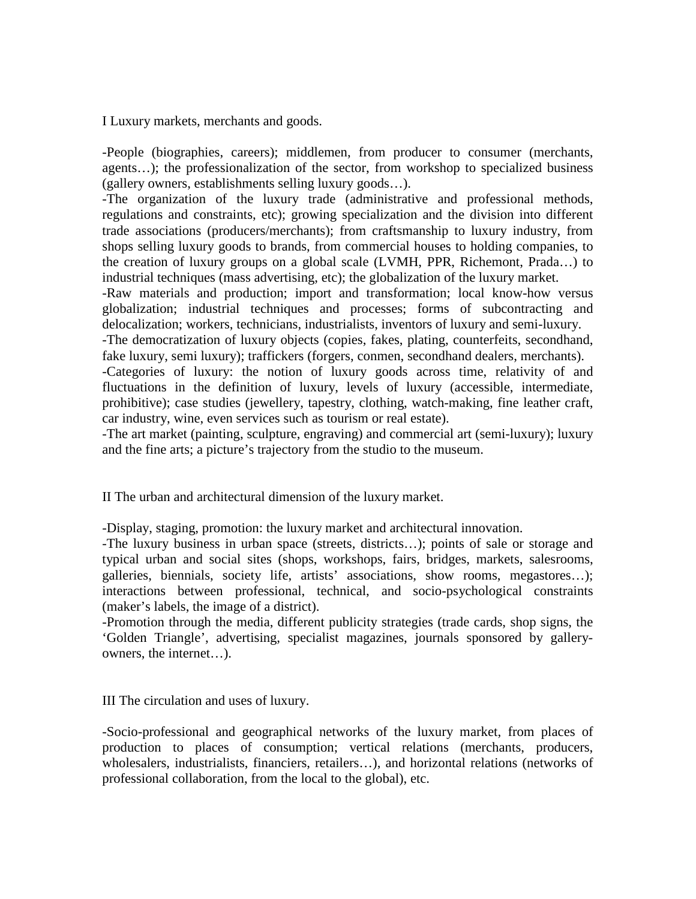I Luxury markets, merchants and goods.

-People (biographies, careers); middlemen, from producer to consumer (merchants, agents…); the professionalization of the sector, from workshop to specialized business (gallery owners, establishments selling luxury goods…).

-The organization of the luxury trade (administrative and professional methods, regulations and constraints, etc); growing specialization and the division into different trade associations (producers/merchants); from craftsmanship to luxury industry, from shops selling luxury goods to brands, from commercial houses to holding companies, to the creation of luxury groups on a global scale (LVMH, PPR, Richemont, Prada…) to industrial techniques (mass advertising, etc); the globalization of the luxury market.

-Raw materials and production; import and transformation; local know-how versus globalization; industrial techniques and processes; forms of subcontracting and delocalization; workers, technicians, industrialists, inventors of luxury and semi-luxury. -The democratization of luxury objects (copies, fakes, plating, counterfeits, secondhand,

fake luxury, semi luxury); traffickers (forgers, conmen, secondhand dealers, merchants). -Categories of luxury: the notion of luxury goods across time, relativity of and fluctuations in the definition of luxury, levels of luxury (accessible, intermediate, prohibitive); case studies (jewellery, tapestry, clothing, watch-making, fine leather craft, car industry, wine, even services such as tourism or real estate).

-The art market (painting, sculpture, engraving) and commercial art (semi-luxury); luxury and the fine arts; a picture's trajectory from the studio to the museum.

II The urban and architectural dimension of the luxury market.

-Display, staging, promotion: the luxury market and architectural innovation.

-The luxury business in urban space (streets, districts…); points of sale or storage and typical urban and social sites (shops, workshops, fairs, bridges, markets, salesrooms, galleries, biennials, society life, artists' associations, show rooms, megastores…); interactions between professional, technical, and socio-psychological constraints (maker's labels, the image of a district).

-Promotion through the media, different publicity strategies (trade cards, shop signs, the 'Golden Triangle', advertising, specialist magazines, journals sponsored by galleryowners, the internet…).

III The circulation and uses of luxury.

-Socio-professional and geographical networks of the luxury market, from places of production to places of consumption; vertical relations (merchants, producers, wholesalers, industrialists, financiers, retailers…), and horizontal relations (networks of professional collaboration, from the local to the global), etc.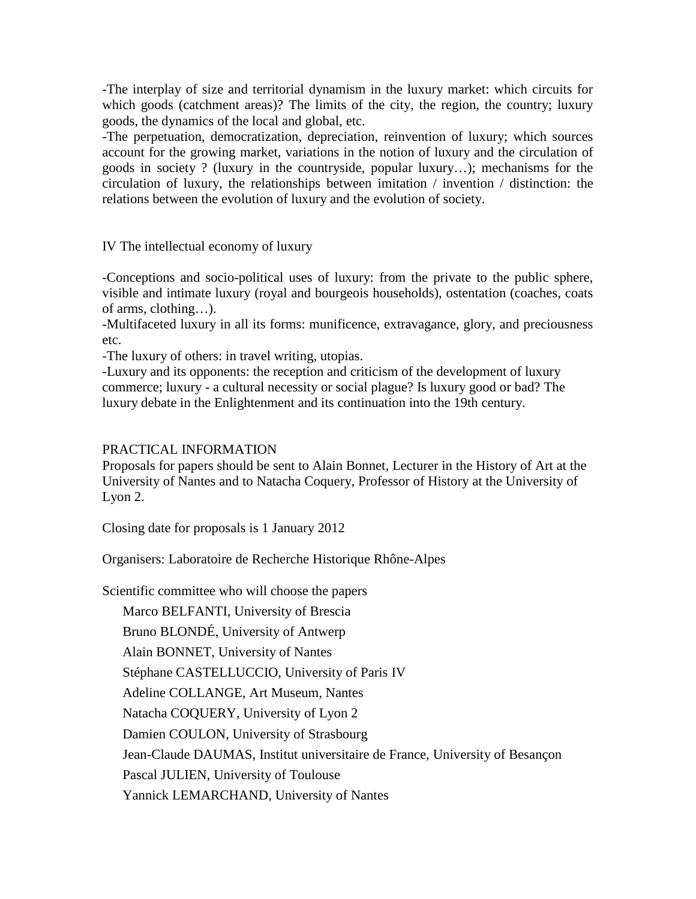-The interplay of size and territorial dynamism in the luxury market: which circuits for which goods (catchment areas)? The limits of the city, the region, the country; luxury goods, the dynamics of the local and global, etc.

-The perpetuation, democratization, depreciation, reinvention of luxury; which sources account for the growing market, variations in the notion of luxury and the circulation of goods in society ? (luxury in the countryside, popular luxury…); mechanisms for the circulation of luxury, the relationships between imitation / invention / distinction: the relations between the evolution of luxury and the evolution of society.

IV The intellectual economy of luxury

-Conceptions and socio-political uses of luxury: from the private to the public sphere, visible and intimate luxury (royal and bourgeois households), ostentation (coaches, coats of arms, clothing…).

-Multifaceted luxury in all its forms: munificence, extravagance, glory, and preciousness etc.

-The luxury of others: in travel writing, utopias.

-Luxury and its opponents: the reception and criticism of the development of luxury commerce; luxury - a cultural necessity or social plague? Is luxury good or bad? The luxury debate in the Enlightenment and its continuation into the 19th century.

## PRACTICAL INFORMATION

Proposals for papers should be sent to Alain Bonnet, Lecturer in the History of Art at the University of Nantes and to Natacha Coquery, Professor of History at the University of Lyon 2.

Closing date for proposals is 1 January 2012

Organisers: Laboratoire de Recherche Historique Rhône-Alpes

Scientific committee who will choose the papers

Marco BELFANTI, University of Brescia

Bruno BLONDÉ, University of Antwerp

Alain BONNET, University of Nantes

Stéphane CASTELLUCCIO, University of Paris IV

Adeline COLLANGE, Art Museum, Nantes

Natacha COQUERY, University of Lyon 2

Damien COULON, University of Strasbourg

Jean-Claude DAUMAS, Institut universitaire de France, University of Besançon

Pascal JULIEN, University of Toulouse

Yannick LEMARCHAND, University of Nantes